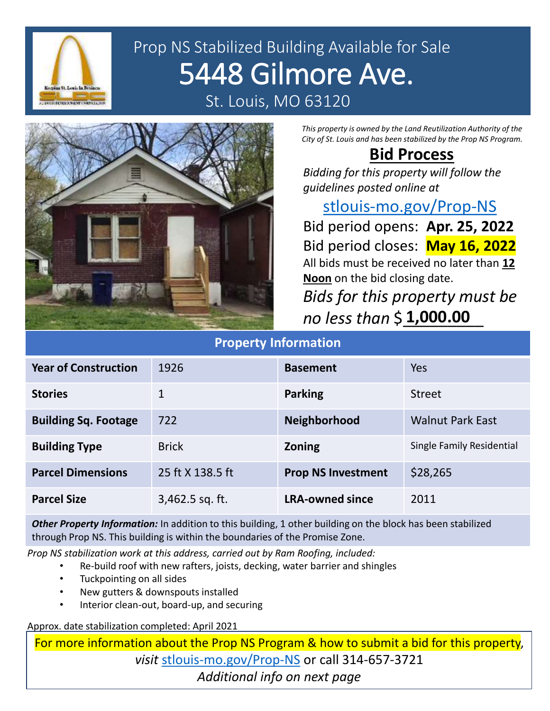

# Prop NS Stabilized Building Available for Sale 5448 Gilmore Ave. St. Louis, MO 63120



*This property is owned by the Land Reutilization Authority of the City of St. Louis and has been stabilized by the Prop NS Program.*

#### **Bid Process**

*Bidding for this property will follow the guidelines posted online at* 

#### [stlouis-mo.gov/Prop-NS](https://stlouis-mo.gov/Prop-NS)

Bid period opens: **Apr. 25, 2022** Bid period closes: **May 16, 2022** All bids must be received no later than **12 Noon** on the bid closing date.

*Bids for this property must be no less than* \$\_\_\_\_\_\_\_\_\_ **1,000.00**

| <b>Property Information</b> |                   |                           |                           |
|-----------------------------|-------------------|---------------------------|---------------------------|
| <b>Year of Construction</b> | 1926              | <b>Basement</b>           | <b>Yes</b>                |
| <b>Stories</b>              | 1                 | <b>Parking</b>            | <b>Street</b>             |
| <b>Building Sq. Footage</b> | 722               | <b>Neighborhood</b>       | <b>Walnut Park East</b>   |
| <b>Building Type</b>        | <b>Brick</b>      | <b>Zoning</b>             | Single Family Residential |
| <b>Parcel Dimensions</b>    | 25 ft X 138.5 ft  | <b>Prop NS Investment</b> | \$28,265                  |
| <b>Parcel Size</b>          | $3,462.5$ sq. ft. | <b>LRA-owned since</b>    | 2011                      |

*Other Property Information:* In addition to this building, 1 other building on the block has been stabilized through Prop NS. This building is within the boundaries of the Promise Zone.

*Prop NS stabilization work at this address, carried out by Ram Roofing, included:*

- Re-build roof with new rafters, joists, decking, water barrier and shingles
- Tuckpointing on all sides
- New gutters & downspouts installed
- Interior clean-out, board-up, and securing

Approx. date stabilization completed: April 2021

For more information about the Prop NS Program & how to submit a bid for this property, *visit* [stlouis-mo.gov/Prop-NS](https://stlouis-mo.gov/Prop-NS) or call 314-657-3721 *Additional info on next page*